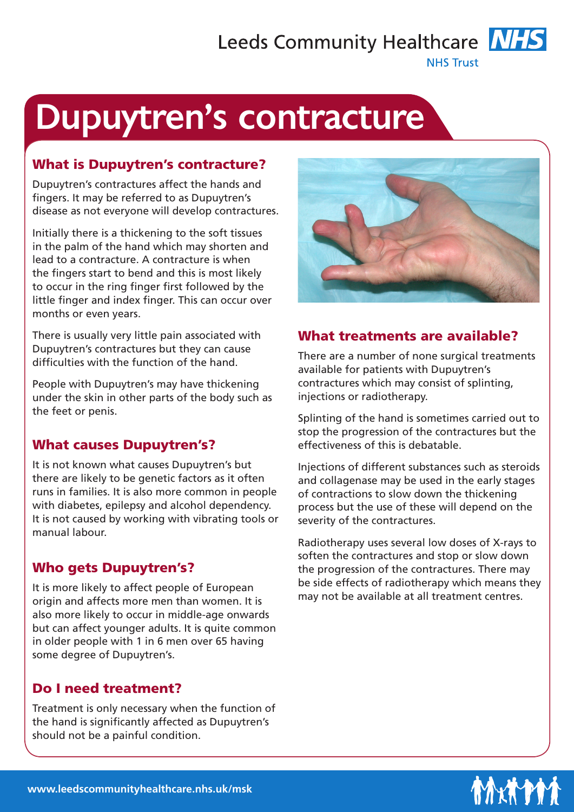## Leeds Community Healthcare **NHS**

**NHS Trust** 

# Dupuytren's contracture

#### What is Dupuytren's contracture?

Dupuytren's contractures affect the hands and fingers. It may be referred to as Dupuytren's disease as not everyone will develop contractures.

Initially there is a thickening to the soft tissues in the palm of the hand which may shorten and lead to a contracture. A contracture is when the fingers start to bend and this is most likely to occur in the ring finger first followed by the little finger and index finger. This can occur over months or even years.

There is usually very little pain associated with Dupuytren's contractures but they can cause difficulties with the function of the hand.

People with Dupuytren's may have thickening under the skin in other parts of the body such as the feet or penis.

#### What causes Dupuytren's?

It is not known what causes Dupuytren's but there are likely to be genetic factors as it often runs in families. It is also more common in people with diabetes, epilepsy and alcohol dependency. It is not caused by working with vibrating tools or manual labour.

#### Who gets Dupuytren's?

It is more likely to affect people of European origin and affects more men than women. It is also more likely to occur in middle-age onwards but can affect younger adults. It is quite common in older people with 1 in 6 men over 65 having some degree of Dupuytren's.

#### Do I need treatment?

Treatment is only necessary when the function of the hand is significantly affected as Dupuytren's should not be a painful condition.



### What treatments are available?

There are a number of none surgical treatments available for patients with Dupuytren's contractures which may consist of splinting, injections or radiotherapy.

Splinting of the hand is sometimes carried out to stop the progression of the contractures but the effectiveness of this is debatable.

Injections of different substances such as steroids and collagenase may be used in the early stages of contractions to slow down the thickening process but the use of these will depend on the severity of the contractures.

Radiotherapy uses several low doses of X-rays to soften the contractures and stop or slow down the progression of the contractures. There may be side effects of radiotherapy which means they may not be available at all treatment centres.